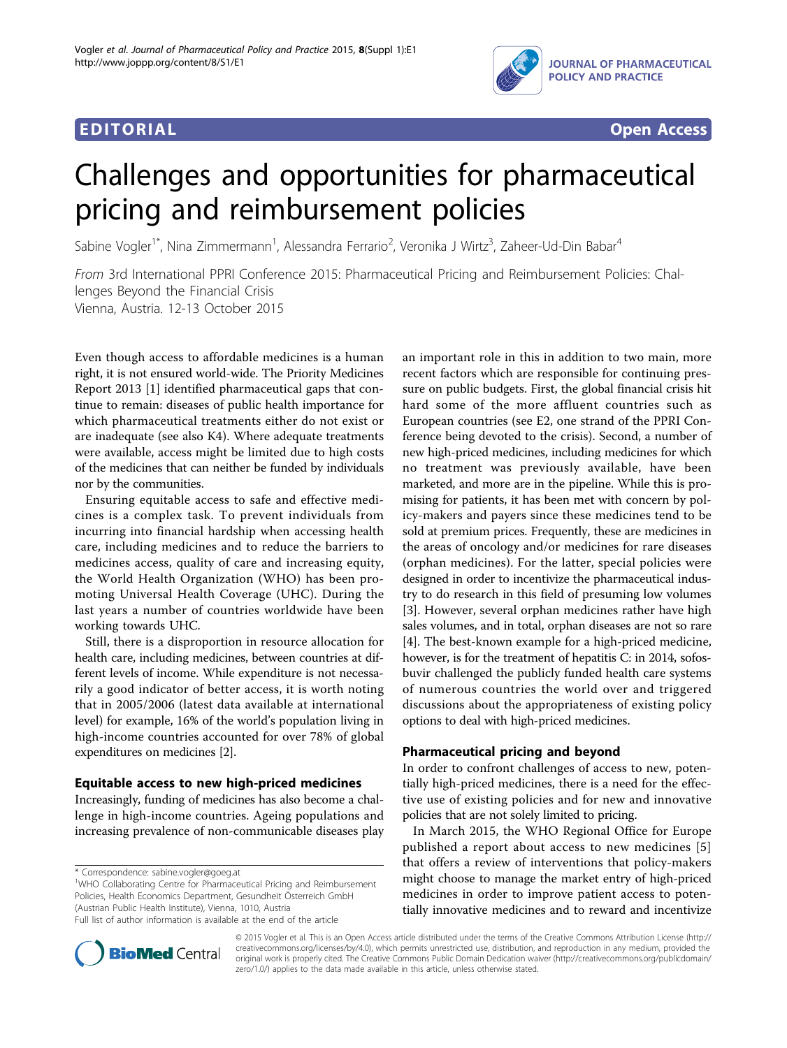

# Challenges and opportunities for pharmaceutical pricing and reimbursement policies

Sabine Vogler<sup>1\*</sup>, Nina Zimmermann<sup>1</sup>, Alessandra Ferrario<sup>2</sup>, Veronika J Wirtz<sup>3</sup>, Zaheer-Ud-Din Babar<sup>4</sup>

From 3rd International PPRI Conference 2015: Pharmaceutical Pricing and Reimbursement Policies: Challenges Beyond the Financial Crisis Vienna, Austria. 12-13 October 2015

Even though access to affordable medicines is a human right, it is not ensured world-wide. The Priority Medicines Report 2013 [\[1](#page-2-0)] identified pharmaceutical gaps that continue to remain: diseases of public health importance for which pharmaceutical treatments either do not exist or are inadequate (see also K4). Where adequate treatments were available, access might be limited due to high costs of the medicines that can neither be funded by individuals nor by the communities.

Ensuring equitable access to safe and effective medicines is a complex task. To prevent individuals from incurring into financial hardship when accessing health care, including medicines and to reduce the barriers to medicines access, quality of care and increasing equity, the World Health Organization (WHO) has been promoting Universal Health Coverage (UHC). During the last years a number of countries worldwide have been working towards UHC.

Still, there is a disproportion in resource allocation for health care, including medicines, between countries at different levels of income. While expenditure is not necessarily a good indicator of better access, it is worth noting that in 2005/2006 (latest data available at international level) for example, 16% of the world's population living in high-income countries accounted for over 78% of global expenditures on medicines [\[2\]](#page-2-0).

# Equitable access to new high-priced medicines

Increasingly, funding of medicines has also become a challenge in high-income countries. Ageing populations and increasing prevalence of non-communicable diseases play

\* Correspondence: [sabine.vogler@goeg.at](mailto:sabine.vogler@goeg.at)

<sup>1</sup>WHO Collaborating Centre for Pharmaceutical Pricing and Reimbursement Policies, Health Economics Department, Gesundheit Österreich GmbH (Austrian Public Health Institute), Vienna, 1010, Austria

an important role in this in addition to two main, more recent factors which are responsible for continuing pressure on public budgets. First, the global financial crisis hit hard some of the more affluent countries such as European countries (see E2, one strand of the PPRI Conference being devoted to the crisis). Second, a number of new high-priced medicines, including medicines for which no treatment was previously available, have been marketed, and more are in the pipeline. While this is promising for patients, it has been met with concern by policy-makers and payers since these medicines tend to be sold at premium prices. Frequently, these are medicines in the areas of oncology and/or medicines for rare diseases (orphan medicines). For the latter, special policies were designed in order to incentivize the pharmaceutical industry to do research in this field of presuming low volumes [[3\]](#page-2-0). However, several orphan medicines rather have high sales volumes, and in total, orphan diseases are not so rare [[4\]](#page-2-0). The best-known example for a high-priced medicine, however, is for the treatment of hepatitis C: in 2014, sofosbuvir challenged the publicly funded health care systems of numerous countries the world over and triggered discussions about the appropriateness of existing policy options to deal with high-priced medicines.

# Pharmaceutical pricing and beyond

In order to confront challenges of access to new, potentially high-priced medicines, there is a need for the effective use of existing policies and for new and innovative policies that are not solely limited to pricing.

In March 2015, the WHO Regional Office for Europe published a report about access to new medicines [[5](#page-2-0)] that offers a review of interventions that policy-makers might choose to manage the market entry of high-priced medicines in order to improve patient access to potentially innovative medicines and to reward and incentivize



© 2015 Vogler et al. This is an Open Access article distributed under the terms of the Creative Commons Attribution License [\(http://](http://creativecommons.org/licenses/by/4.0) [creativecommons.org/licenses/by/4.0](http://creativecommons.org/licenses/by/4.0)), which permits unrestricted use, distribution, and reproduction in any medium, provided the original work is properly cited. The Creative Commons Public Domain Dedication waiver ([http://creativecommons.org/publicdomain/](http://creativecommons.org/publicdomain/zero/1.0/) [zero/1.0/](http://creativecommons.org/publicdomain/zero/1.0/)) applies to the data made available in this article, unless otherwise stated.

Full list of author information is available at the end of the article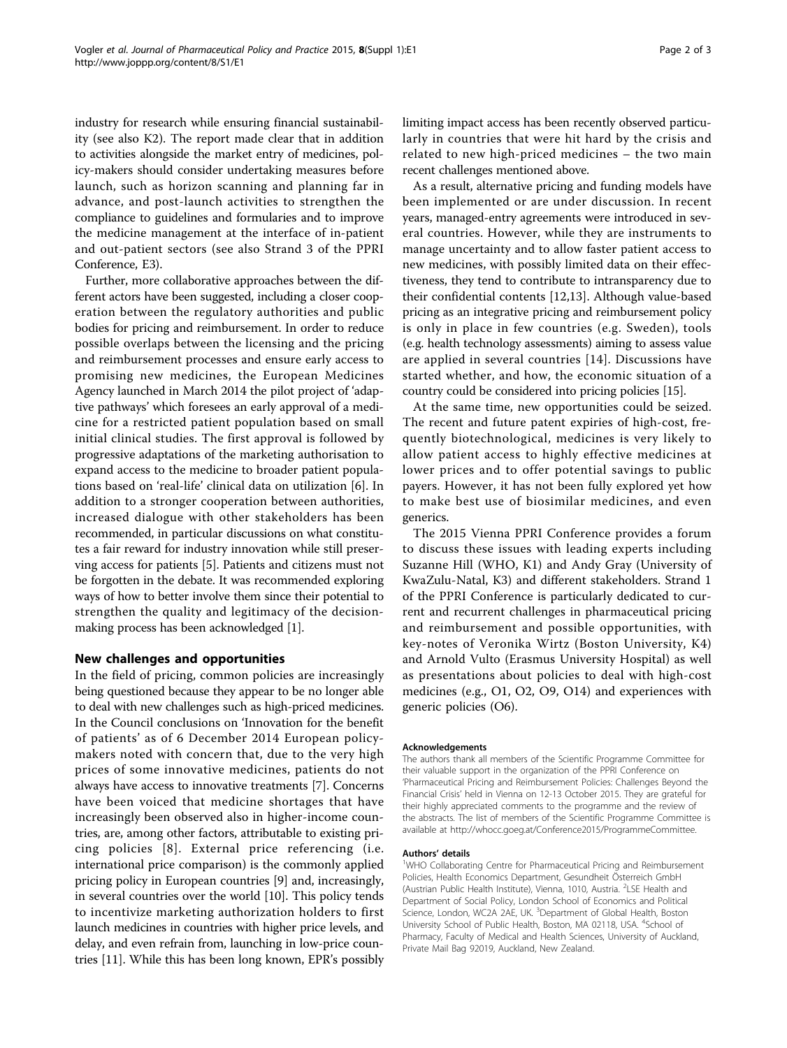industry for research while ensuring financial sustainability (see also K2). The report made clear that in addition to activities alongside the market entry of medicines, policy-makers should consider undertaking measures before launch, such as horizon scanning and planning far in advance, and post-launch activities to strengthen the compliance to guidelines and formularies and to improve the medicine management at the interface of in-patient and out-patient sectors (see also Strand 3 of the PPRI Conference, E3).

Further, more collaborative approaches between the different actors have been suggested, including a closer cooperation between the regulatory authorities and public bodies for pricing and reimbursement. In order to reduce possible overlaps between the licensing and the pricing and reimbursement processes and ensure early access to promising new medicines, the European Medicines Agency launched in March 2014 the pilot project of 'adaptive pathways' which foresees an early approval of a medicine for a restricted patient population based on small initial clinical studies. The first approval is followed by progressive adaptations of the marketing authorisation to expand access to the medicine to broader patient populations based on 'real-life' clinical data on utilization [[6\]](#page-2-0). In addition to a stronger cooperation between authorities, increased dialogue with other stakeholders has been recommended, in particular discussions on what constitutes a fair reward for industry innovation while still preserving access for patients [[5\]](#page-2-0). Patients and citizens must not be forgotten in the debate. It was recommended exploring ways of how to better involve them since their potential to strengthen the quality and legitimacy of the decisionmaking process has been acknowledged [\[1](#page-2-0)].

# New challenges and opportunities

In the field of pricing, common policies are increasingly being questioned because they appear to be no longer able to deal with new challenges such as high-priced medicines. In the Council conclusions on 'Innovation for the benefit of patients' as of 6 December 2014 European policymakers noted with concern that, due to the very high prices of some innovative medicines, patients do not always have access to innovative treatments [\[7](#page-2-0)]. Concerns have been voiced that medicine shortages that have increasingly been observed also in higher-income countries, are, among other factors, attributable to existing pricing policies [[8\]](#page-2-0). External price referencing (i.e. international price comparison) is the commonly applied pricing policy in European countries [\[9\]](#page-2-0) and, increasingly, in several countries over the world [\[10\]](#page-2-0). This policy tends to incentivize marketing authorization holders to first launch medicines in countries with higher price levels, and delay, and even refrain from, launching in low-price countries [[11\]](#page-2-0). While this has been long known, EPR's possibly limiting impact access has been recently observed particularly in countries that were hit hard by the crisis and related to new high-priced medicines – the two main recent challenges mentioned above.

As a result, alternative pricing and funding models have been implemented or are under discussion. In recent years, managed-entry agreements were introduced in several countries. However, while they are instruments to manage uncertainty and to allow faster patient access to new medicines, with possibly limited data on their effectiveness, they tend to contribute to intransparency due to their confidential contents [\[12,13\]](#page-2-0). Although value-based pricing as an integrative pricing and reimbursement policy is only in place in few countries (e.g. Sweden), tools (e.g. health technology assessments) aiming to assess value are applied in several countries [\[14\]](#page-2-0). Discussions have started whether, and how, the economic situation of a country could be considered into pricing policies [[15](#page-2-0)].

At the same time, new opportunities could be seized. The recent and future patent expiries of high-cost, frequently biotechnological, medicines is very likely to allow patient access to highly effective medicines at lower prices and to offer potential savings to public payers. However, it has not been fully explored yet how to make best use of biosimilar medicines, and even generics.

The 2015 Vienna PPRI Conference provides a forum to discuss these issues with leading experts including Suzanne Hill (WHO, K1) and Andy Gray (University of KwaZulu-Natal, K3) and different stakeholders. Strand 1 of the PPRI Conference is particularly dedicated to current and recurrent challenges in pharmaceutical pricing and reimbursement and possible opportunities, with key-notes of Veronika Wirtz (Boston University, K4) and Arnold Vulto (Erasmus University Hospital) as well as presentations about policies to deal with high-cost medicines (e.g., O1, O2, O9, O14) and experiences with generic policies (O6).

### Acknowledgements

The authors thank all members of the Scientific Programme Committee for their valuable support in the organization of the PPRI Conference on 'Pharmaceutical Pricing and Reimbursement Policies: Challenges Beyond the Financial Crisis' held in Vienna on 12-13 October 2015. They are grateful for their highly appreciated comments to the programme and the review of the abstracts. The list of members of the Scientific Programme Committee is available at<http://whocc.goeg.at/Conference2015/ProgrammeCommittee>.

#### Authors' details <sup>1</sup>

<sup>1</sup>WHO Collaborating Centre for Pharmaceutical Pricing and Reimbursement Policies, Health Economics Department, Gesundheit Österreich GmbH (Austrian Public Health Institute), Vienna, 1010, Austria. <sup>2</sup>LSE Health and Department of Social Policy, London School of Economics and Political Science, London, WC2A 2AE, UK. <sup>3</sup>Department of Global Health, Boston University School of Public Health, Boston, MA 02118, USA. <sup>4</sup>School of Pharmacy, Faculty of Medical and Health Sciences, University of Auckland, Private Mail Bag 92019, Auckland, New Zealand.